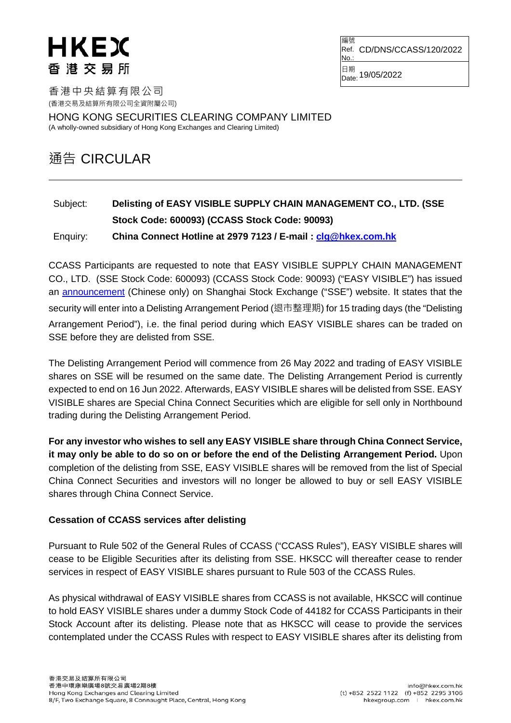## HKEX 香港交易所

編號 Ref. CD/DNS/CCASS/120/2022 No.

日期<br>Date: 19/05/2022

香港中央結算有限公司 (香港交易及結算所有限公司全資附屬公司)

HONG KONG SECURITIES CLEARING COMPANY LIMITED

(A wholly-owned subsidiary of Hong Kong Exchanges and Clearing Limited)

## 通告 CIRCULAR

## Subject: **Delisting of EASY VISIBLE SUPPLY CHAIN MANAGEMENT CO., LTD. (SSE Stock Code: 600093) (CCASS Stock Code: 90093)** Enquiry: **China Connect Hotline at 2979 7123 / E-mail : [clg@hkex.com.hk](mailto:clg@hkex.com.hk)**

CCASS Participants are requested to note that EASY VISIBLE SUPPLY CHAIN MANAGEMENT CO., LTD. (SSE Stock Code: 600093) (CCASS Stock Code: 90093) ("EASY VISIBLE") has issued an [announcement](http://www.sse.com.cn/disclosure/listedinfo/announcement/c/new/2022-05-19/600093_20220519_2_oaBNVzY3.pdf) (Chinese only) on Shanghai Stock Exchange ("SSE") website. It states that the security will enter into a Delisting Arrangement Period (退市整理期) for 15 trading days (the "Delisting Arrangement Period"), i.e. the final period during which EASY VISIBLE shares can be traded on SSE before they are delisted from SSE.

The Delisting Arrangement Period will commence from 26 May 2022 and trading of EASY VISIBLE shares on SSE will be resumed on the same date. The Delisting Arrangement Period is currently expected to end on 16 Jun 2022. Afterwards, EASY VISIBLE shares will be delisted from SSE. EASY VISIBLE shares are Special China Connect Securities which are eligible for sell only in Northbound trading during the Delisting Arrangement Period.

**For any investor who wishes to sell any EASY VISIBLE share through China Connect Service, it may only be able to do so on or before the end of the Delisting Arrangement Period.** Upon completion of the delisting from SSE, EASY VISIBLE shares will be removed from the list of Special China Connect Securities and investors will no longer be allowed to buy or sell EASY VISIBLE shares through China Connect Service.

## **Cessation of CCASS services after delisting**

Pursuant to Rule 502 of the General Rules of CCASS ("CCASS Rules"), EASY VISIBLE shares will cease to be Eligible Securities after its delisting from SSE. HKSCC will thereafter cease to render services in respect of EASY VISIBLE shares pursuant to Rule 503 of the CCASS Rules.

As physical withdrawal of EASY VISIBLE shares from CCASS is not available, HKSCC will continue to hold EASY VISIBLE shares under a dummy Stock Code of 44182 for CCASS Participants in their Stock Account after its delisting. Please note that as HKSCC will cease to provide the services contemplated under the CCASS Rules with respect to EASY VISIBLE shares after its delisting from